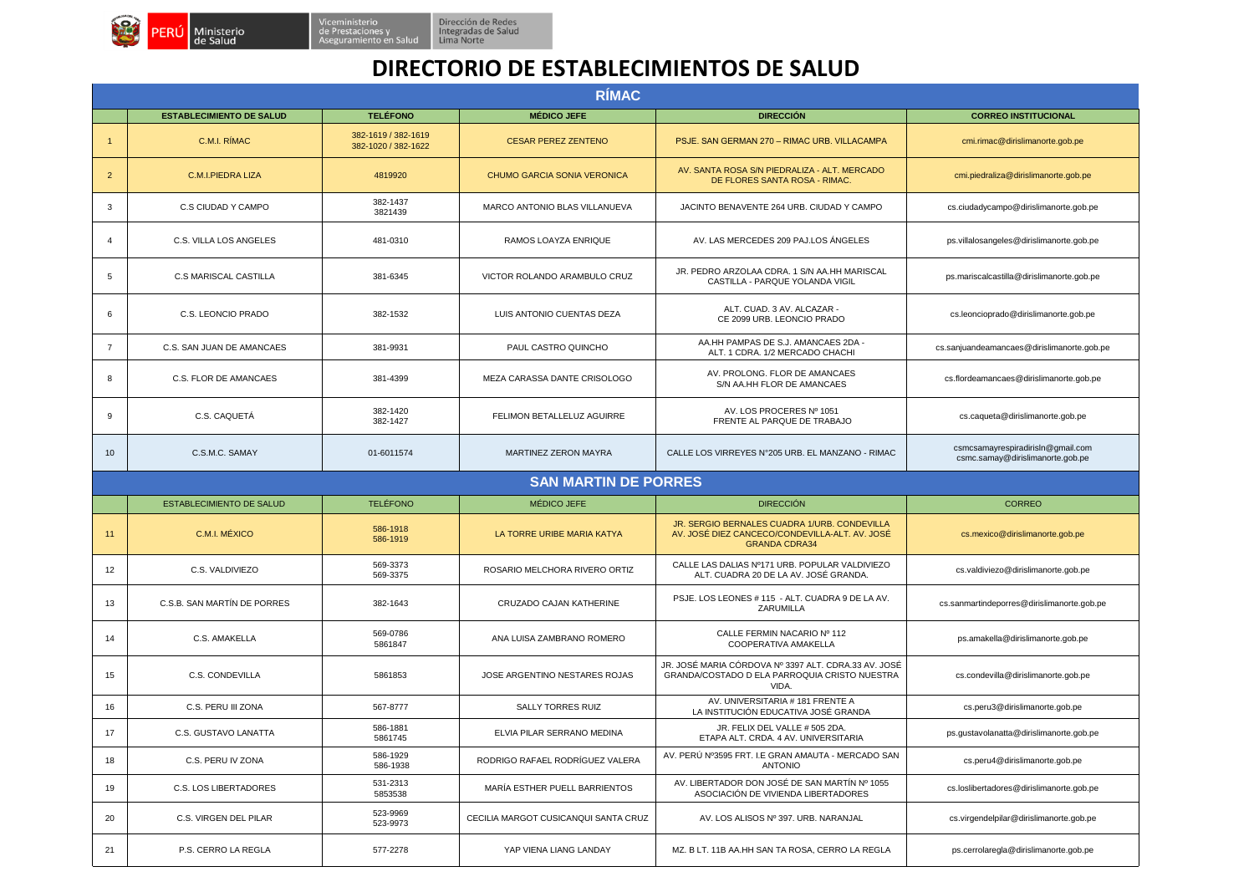

## **DIRECTORIO DE ESTABLECIMIENTOS DE SALUD**

|                | <b>RIMAC</b>                    |                                            |                                      |                                                                                                                        |                                                                       |  |  |
|----------------|---------------------------------|--------------------------------------------|--------------------------------------|------------------------------------------------------------------------------------------------------------------------|-----------------------------------------------------------------------|--|--|
|                | <b>ESTABLECIMIENTO DE SALUD</b> | <b>TELÉFONO</b>                            | <b>MÉDICO JEFE</b>                   | <b>DIRECCIÓN</b>                                                                                                       | <b>CORREO INSTITUCIONAL</b>                                           |  |  |
| $\mathbf{1}$   | C.M.I. RÍMAC                    | 382-1619 / 382-1619<br>382-1020 / 382-1622 | <b>CESAR PEREZ ZENTENO</b>           | PSJE. SAN GERMAN 270 - RIMAC URB. VILLACAMPA                                                                           | cmi.rimac@dirislimanorte.gob.pe                                       |  |  |
| $\overline{2}$ | <b>C.M.I.PIEDRA LIZA</b>        | 4819920                                    | <b>CHUMO GARCIA SONIA VERONICA</b>   | AV. SANTA ROSA S/N PIEDRALIZA - ALT. MERCADO<br>DE FLORES SANTA ROSA - RIMAC.                                          | cmi.piedraliza@dirislimanorte.gob.pe                                  |  |  |
| 3              | C.S CIUDAD Y CAMPO              | 382-1437<br>3821439                        | MARCO ANTONIO BLAS VILLANUEVA        | JACINTO BENAVENTE 264 URB. CIUDAD Y CAMPO                                                                              | cs.ciudadycampo@dirislimanorte.gob.pe                                 |  |  |
| $\overline{4}$ | C.S. VILLA LOS ANGELES          | 481-0310                                   | RAMOS LOAYZA ENRIQUE                 | AV. LAS MERCEDES 209 PAJ.LOS ANGELES                                                                                   | ps.villalosangeles@dirislimanorte.gob.pe                              |  |  |
| 5              | <b>C.S MARISCAL CASTILLA</b>    | 381-6345                                   | VICTOR ROLANDO ARAMBULO CRUZ         | JR. PEDRO ARZOLAA CDRA. 1 S/N AA.HH MARISCAL<br>CASTILLA - PARQUE YOLANDA VIGIL                                        | ps.mariscalcastilla@dirislimanorte.gob.pe                             |  |  |
| 6              | C.S. LEONCIO PRADO              | 382-1532                                   | LUIS ANTONIO CUENTAS DEZA            | ALT. CUAD. 3 AV. ALCAZAR -<br>CE 2099 URB. LEONCIO PRADO                                                               | cs.leoncioprado@dirislimanorte.gob.pe                                 |  |  |
| $\overline{7}$ | C.S. SAN JUAN DE AMANCAES       | 381-9931                                   | PAUL CASTRO QUINCHO                  | AA.HH PAMPAS DE S.J. AMANCAES 2DA -<br>ALT. 1 CDRA. 1/2 MERCADO CHACHI                                                 | cs.sanjuandeamancaes@dirislimanorte.gob.pe                            |  |  |
| 8              | C.S. FLOR DE AMANCAES           | 381-4399                                   | MEZA CARASSA DANTE CRISOLOGO         | AV. PROLONG. FLOR DE AMANCAES<br>S/N AA.HH FLOR DE AMANCAES                                                            | cs.flordeamancaes@dirislimanorte.gob.pe                               |  |  |
| 9              | C.S. CAQUETÁ                    | 382-1420<br>382-1427                       | FELIMON BETALLELUZ AGUIRRE           | AV. LOS PROCERES Nº 1051<br>FRENTE AL PARQUE DE TRABAJO                                                                | cs.caqueta@dirislimanorte.gob.pe                                      |  |  |
| 10             | C.S.M.C. SAMAY                  | 01-6011574                                 | <b>MARTINEZ ZERON MAYRA</b>          | CALLE LOS VIRREYES N°205 URB. EL MANZANO - RIMAC                                                                       | csmcsamayrespiradirisln@gmail.com<br>csmc.samay@dirislimanorte.gob.pe |  |  |
|                |                                 |                                            | <b>SAN MARTIN DE PORRES</b>          |                                                                                                                        |                                                                       |  |  |
|                | <b>ESTABLECIMIENTO DE SALUD</b> | <b>TELÉFONO</b>                            | MÉDICO JEFE                          | <b>DIRECCIÓN</b>                                                                                                       | CORREO                                                                |  |  |
| 11             | C.M.I. MEXICO                   | 586-1918<br>586-1919                       | LA TORRE URIBE MARIA KATYA           | JR. SERGIO BERNALES CUADRA 1/URB. CONDEVILLA<br>AV. JOSÉ DIEZ CANCECO/CONDEVILLA-ALT. AV. JOSÉ<br><b>GRANDA CDRA34</b> | cs.mexico@dirislimanorte.gob.pe                                       |  |  |
| 12             | C.S. VALDIVIEZO                 | 569-3373<br>569-3375                       | ROSARIO MELCHORA RIVERO ORTIZ        | CALLE LAS DALIAS Nº171 URB. POPULAR VALDIVIEZO<br>ALT. CUADRA 20 DE LA AV. JOSÉ GRANDA.                                | cs.valdiviezo@dirislimanorte.gob.pe                                   |  |  |
| 13             | C.S.B. SAN MARTÍN DE PORRES     | 382-1643                                   | CRUZADO CAJAN KATHERINE              | PSJE. LOS LEONES # 115 - ALT. CUADRA 9 DE LA AV.<br>ZARUMILLA                                                          | cs.sanmartindeporres@dirislimanorte.gob.pe                            |  |  |
| 14             | C.S. AMAKELLA                   | 569-0786<br>5861847                        | ANA LUISA ZAMBRANO ROMERO            | CALLE FERMIN NACARIO Nº 112<br>COOPERATIVA AMAKELLA                                                                    | ps.amakella@dirislimanorte.gob.pe                                     |  |  |
| 15             | C.S. CONDEVILLA                 | 5861853                                    | JOSE ARGENTINO NESTARES ROJAS        | JR. JOSÉ MARIA CÓRDOVA Nº 3397 ALT. CDRA.33 AV. JOSÉ<br>GRANDA/COSTADO D ELA PARROQUIA CRISTO NUESTRA<br>VIDA.         | cs.condevilla@dirislimanorte.gob.pe                                   |  |  |
| 16             | C.S. PERU III ZONA              | 567-8777                                   | <b>SALLY TORRES RUIZ</b>             | AV. UNIVERSITARIA # 181 FRENTE A<br>LA INSTITUCIÓN EDUCATIVA JOSÉ GRANDA                                               | cs.peru3@dirislimanorte.gob.pe                                        |  |  |
| 17             | C.S. GUSTAVO LANATTA            | 586-1881<br>5861745                        | ELVIA PILAR SERRANO MEDINA           | JR. FELIX DEL VALLE # 505 2DA.<br>ETAPA ALT. CRDA. 4 AV. UNIVERSITARIA                                                 | ps.qustavolanatta@dirislimanorte.gob.pe                               |  |  |
| 18             | C.S. PERU IV ZONA               | 586-1929<br>586-1938                       | RODRIGO RAFAEL RODRÍGUEZ VALERA      | AV. PERÚ Nº3595 FRT. I.E GRAN AMAUTA - MERCADO SAN<br><b>ANTONIO</b>                                                   | cs.peru4@dirislimanorte.gob.pe                                        |  |  |
| 19             | C.S. LOS LIBERTADORES           | 531-2313<br>5853538                        | MARÍA ESTHER PUELL BARRIENTOS        | AV. LIBERTADOR DON JOSÉ DE SAN MARTÍN Nº 1055<br>ASOCIACIÓN DE VIVIENDA LIBERTADORES                                   | cs.loslibertadores@dirislimanorte.gob.pe                              |  |  |
| 20             | C.S. VIRGEN DEL PILAR           | 523-9969<br>523-9973                       | CECILIA MARGOT CUSICANQUI SANTA CRUZ | AV. LOS ALISOS Nº 397. URB. NARANJAL                                                                                   | cs.virgendelpilar@dirislimanorte.gob.pe                               |  |  |
| 21             | P.S. CERRO LA REGLA             | 577-2278                                   | YAP VIENA LIANG LANDAY               | MZ. B LT. 11B AA.HH SAN TA ROSA, CERRO LA REGLA                                                                        | ps.cerrolaregla@dirislimanorte.gob.pe                                 |  |  |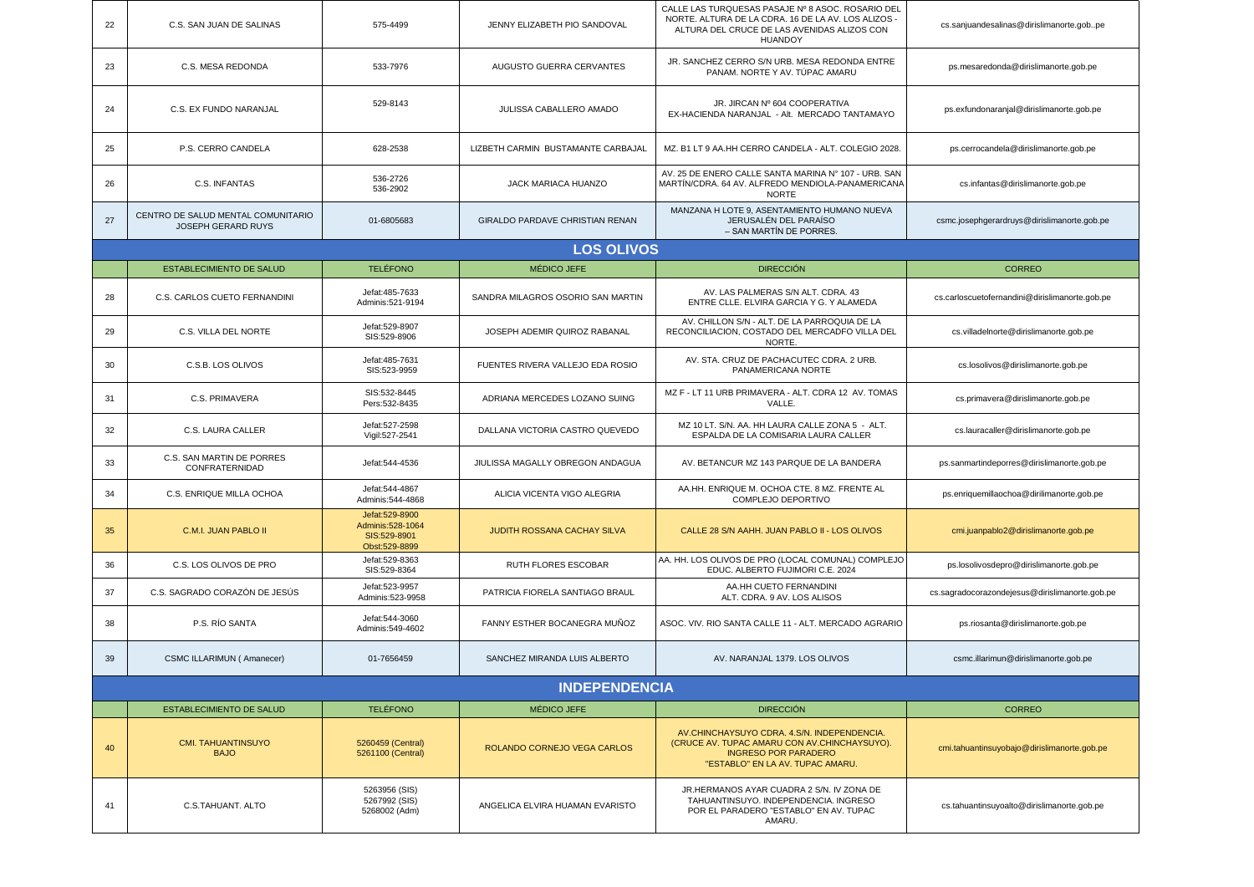| 22 | C.S. SAN JUAN DE SALINAS                                        | 575-4499                                                              | JENNY ELIZABETH PIO SANDOVAL       | CALLE LAS TURQUESAS PASAJE Nº 8 ASOC. ROSARIO DEL<br>NORTE. ALTURA DE LA CDRA. 16 DE LA AV. LOS ALIZOS -<br>ALTURA DEL CRUCE DE LAS AVENIDAS ALIZOS CON<br><b>HUANDOY</b> | cs.sanjuandesalinas@dirislimanorte.gobpe       |  |  |
|----|-----------------------------------------------------------------|-----------------------------------------------------------------------|------------------------------------|---------------------------------------------------------------------------------------------------------------------------------------------------------------------------|------------------------------------------------|--|--|
| 23 | C.S. MESA REDONDA                                               | 533-7976                                                              | AUGUSTO GUERRA CERVANTES           | JR. SANCHEZ CERRO S/N URB. MESA REDONDA ENTRE<br>PANAM. NORTE Y AV. TÚPAC AMARU                                                                                           | ps.mesaredonda@dirislimanorte.gob.pe           |  |  |
| 24 | C.S. EX FUNDO NARANJAL                                          | 529-8143                                                              | JULISSA CABALLERO AMADO            | JR. JIRCAN Nº 604 COOPERATIVA<br>EX-HACIENDA NARANJAL - Alt. MERCADO TANTAMAYO                                                                                            | ps.exfundonaranjal@dirislimanorte.gob.pe       |  |  |
| 25 | P.S. CERRO CANDELA                                              | 628-2538                                                              | LIZBETH CARMIN BUSTAMANTE CARBAJAL | MZ. B1 LT 9 AA.HH CERRO CANDELA - ALT. COLEGIO 2028.                                                                                                                      | ps.cerrocandela@dirislimanorte.gob.pe          |  |  |
| 26 | C.S. INFANTAS                                                   | 536-2726<br>536-2902                                                  | JACK MARIACA HUANZO                | AV. 25 DE ENERO CALLE SANTA MARINA Nº 107 - URB. SAN<br>MARTÍN/CDRA. 64 AV. ALFREDO MENDIOLA-PANAMERICANA<br><b>NORTE</b>                                                 | cs.infantas@dirislimanorte.gob.pe              |  |  |
| 27 | CENTRO DE SALUD MENTAL COMUNITARIO<br><b>JOSEPH GERARD RUYS</b> | 01-6805683                                                            | GIRALDO PARDAVE CHRISTIAN RENAN    | MANZANA H LOTE 9, ASENTAMIENTO HUMANO NUEVA<br>JERUSALÉN DEL PARAÍSO<br>- SAN MARTÍN DE PORRES                                                                            | csmc.josephgerardruys@dirislimanorte.gob.pe    |  |  |
|    |                                                                 |                                                                       | <b>LOS OLIVOS</b>                  |                                                                                                                                                                           |                                                |  |  |
|    | <b>ESTABLECIMIENTO DE SALUD</b>                                 | <b>TELÉFONO</b>                                                       | MÉDICO JEFE                        | <b>DIRECCIÓN</b>                                                                                                                                                          | <b>CORREO</b>                                  |  |  |
| 28 | C.S. CARLOS CUETO FERNANDINI                                    | Jefat: 485-7633<br>Adminis: 521-9194                                  | SANDRA MILAGROS OSORIO SAN MARTIN  | AV. LAS PALMERAS S/N ALT. CDRA. 43<br>ENTRE CLLE, ELVIRA GARCIA Y G. Y ALAMEDA                                                                                            | cs.carloscuetofernandini@dirislimanorte.gob.pe |  |  |
| 29 | C.S. VILLA DEL NORTE                                            | Jefat: 529-8907<br>SIS:529-8906                                       | JOSEPH ADEMIR QUIROZ RABANAL       | AV. CHILLON S/N - ALT. DE LA PARROQUIA DE LA<br>RECONCILIACION, COSTADO DEL MERCADFO VILLA DEL<br>NORTE.                                                                  | cs.villadelnorte@dirislimanorte.gob.pe         |  |  |
| 30 | C.S.B. LOS OLIVOS                                               | Jefat: 485-7631<br>SIS:523-9959                                       | FUENTES RIVERA VALLEJO EDA ROSIO   | AV. STA. CRUZ DE PACHACUTEC CDRA. 2 URB.<br>PANAMERICANA NORTE                                                                                                            | cs.losolivos@dirislimanorte.gob.pe             |  |  |
| 31 | C.S. PRIMAVERA                                                  | SIS:532-8445<br>Pers: 532-8435                                        | ADRIANA MERCEDES LOZANO SUING      | MZ F - LT 11 URB PRIMAVERA - ALT. CDRA 12 AV. TOMAS<br>VALLE.                                                                                                             | cs.primavera@dirislimanorte.gob.pe             |  |  |
| 32 | C.S. LAURA CALLER                                               | Jefat: 527-2598<br>Vigil: 527-2541                                    | DALLANA VICTORIA CASTRO QUEVEDO    | MZ 10 LT. S/N. AA. HH LAURA CALLE ZONA 5 - ALT.<br>ESPALDA DE LA COMISARIA LAURA CALLER                                                                                   | cs.lauracaller@dirislimanorte.gob.pe           |  |  |
| 33 | C.S. SAN MARTIN DE PORRES<br>CONFRATERNIDAD                     | Jefat: 544-4536                                                       | JIULISSA MAGALLY OBREGON ANDAGUA   | AV. BETANCUR MZ 143 PARQUE DE LA BANDERA                                                                                                                                  | ps.sanmartindeporres@dirislimanorte.gob.pe     |  |  |
| 34 | C.S. ENRIQUE MILLA OCHOA                                        | Jefat: 544-4867<br>Adminis: 544-4868                                  | ALICIA VICENTA VIGO ALEGRIA        | AA.HH. ENRIQUE M. OCHOA CTE. 8 MZ. FRENTE AL<br>COMPLEJO DEPORTIVO                                                                                                        | ps.enriquemillaochoa@dirilimanorte.gob.pe      |  |  |
| 35 | C.M.I. JUAN PABLO II                                            | Jefat: 529-8900<br>Adminis: 528-1064<br>SIS:529-8901<br>Obst:529-8899 | JUDITH ROSSANA CACHAY SILVA        | CALLE 28 S/N AAHH. JUAN PABLO II - LOS OLIVOS                                                                                                                             | cmi.juanpablo2@dirislimanorte.gob.pe           |  |  |
| 36 | C.S. LOS OLIVOS DE PRO                                          | Jefat: 529-8363<br>SIS:529-8364                                       | RUTH FLORES ESCOBAR                | AA. HH. LOS OLIVOS DE PRO (LOCAL COMUNAL) COMPLEJO<br>EDUC. ALBERTO FUJIMORI C.E. 2024                                                                                    | ps.losolivosdepro@dirislimanorte.gob.pe        |  |  |
| 37 | C.S. SAGRADO CORAZÓN DE JESÚS                                   | Jefat: 523-9957<br>Adminis: 523-9958                                  | PATRICIA FIORELA SANTIAGO BRAUL    | AA.HH CUETO FERNANDINI<br>ALT. CDRA. 9 AV. LOS ALISOS                                                                                                                     | cs.sagradocorazondejesus@dirislimanorte.gob.pe |  |  |
| 38 | P.S. RÍO SANTA                                                  | Jefat: 544-3060<br>Adminis: 549-4602                                  | FANNY ESTHER BOCANEGRA MUÑOZ       | ASOC. VIV. RIO SANTA CALLE 11 - ALT. MERCADO AGRARIO                                                                                                                      | ps.riosanta@dirislimanorte.gob.pe              |  |  |
| 39 | CSMC ILLARIMUN ( Amanecer)                                      | 01-7656459                                                            | SANCHEZ MIRANDA LUIS ALBERTO       | AV. NARANJAL 1379. LOS OLIVOS                                                                                                                                             | csmc.illarimun@dirislimanorte.gob.pe           |  |  |
|    | <b>INDEPENDENCIA</b>                                            |                                                                       |                                    |                                                                                                                                                                           |                                                |  |  |
|    | <b>ESTABLECIMIENTO DE SALUD</b>                                 | <b>TELÉFONO</b>                                                       | <b>MÉDICO JEFE</b>                 | <b>DIRECCIÓN</b>                                                                                                                                                          | <b>CORREO</b>                                  |  |  |
| 40 | <b>CMI. TAHUANTINSUYO</b><br><b>BAJO</b>                        | 5260459 (Central)<br>5261100 (Central)                                | ROLANDO CORNEJO VEGA CARLOS        | AV.CHINCHAYSUYO CDRA. 4.S/N. INDEPENDENCIA.<br>(CRUCE AV. TUPAC AMARU CON AV.CHINCHAYSUYO).<br><b>INGRESO POR PARADERO</b><br>"ESTABLO" EN LA AV. TUPAC AMARU.            | cmi.tahuantinsuyobajo@dirislimanorte.gob.pe    |  |  |
| 41 | C.S.TAHUANT. ALTO                                               | 5263956 (SIS)<br>5267992 (SIS)<br>5268002 (Adm)                       | ANGELICA ELVIRA HUAMAN EVARISTO    | JR.HERMANOS AYAR CUADRA 2 S/N. IV ZONA DE<br>TAHUANTINSUYO. INDEPENDENCIA. INGRESO<br>POR EL PARADERO "ESTABLO" EN AV. TUPAC<br>AMARU.                                    | cs.tahuantinsuyoalto@dirislimanorte.gob.pe     |  |  |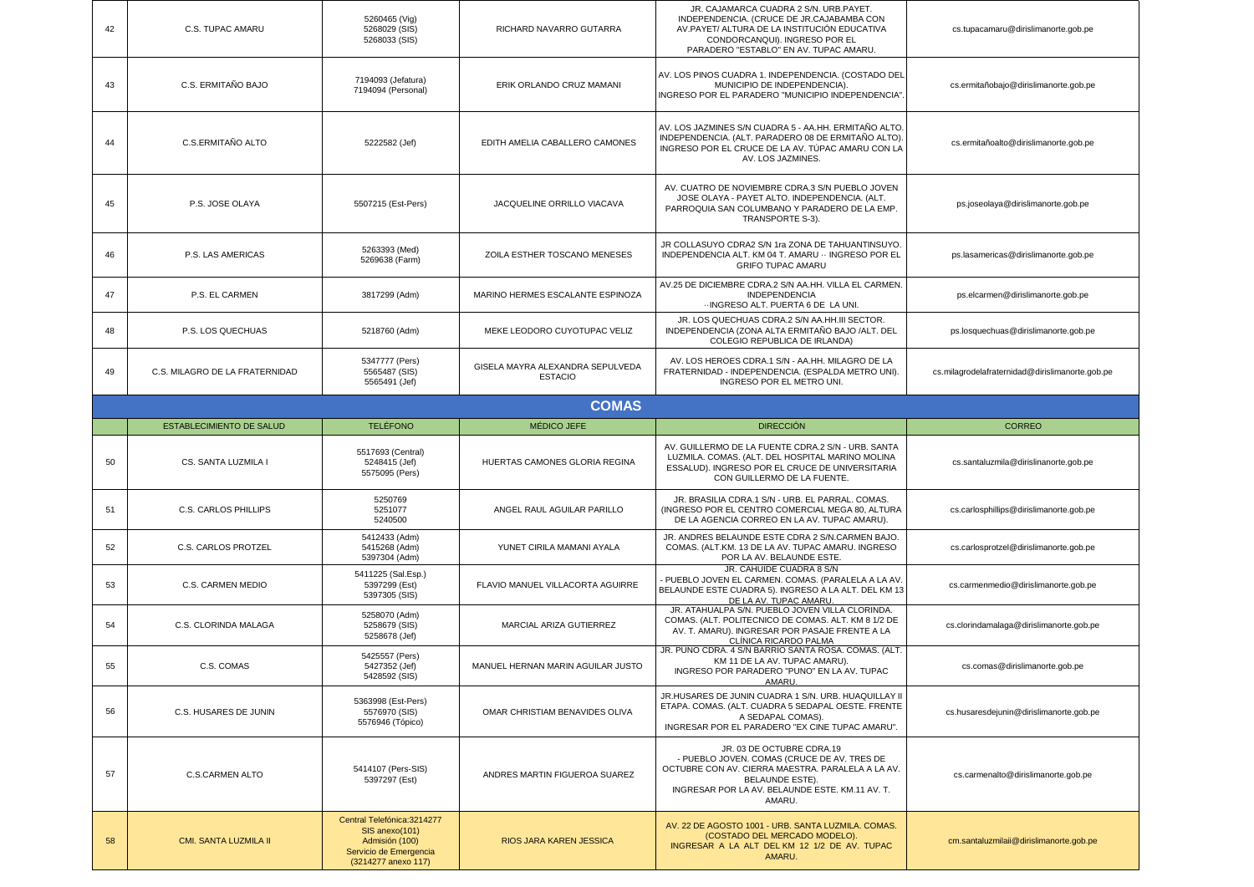| 42 | C.S. TUPAC AMARU                | 5260465 (Vig)<br>5268029 (SIS)<br>5268033 (SIS)         | RICHARD NAVARRO GUTARRA                            | JR. CAJAMARCA CUADRA 2 S/N. URB.PAYET.<br>INDEPENDENCIA. (CRUCE DE JR.CAJABAMBA CON<br>AV.PAYET/ ALTURA DE LA INSTITUCIÓN EDUCATIVA<br>CONDORCANQUI). INGRESO POR EL<br>PARADERO "ESTABLO" EN AV. TUPAC AMARU | cs.tupacamaru@dirislimanorte.gob.pe             |
|----|---------------------------------|---------------------------------------------------------|----------------------------------------------------|---------------------------------------------------------------------------------------------------------------------------------------------------------------------------------------------------------------|-------------------------------------------------|
| 43 | C.S. ERMITAÑO BAJO              | 7194093 (Jefatura)<br>7194094 (Personal)                | ERIK ORLANDO CRUZ MAMANI                           | AV. LOS PINOS CUADRA 1. INDEPENDENCIA. (COSTADO DEL<br>MUNICIPIO DE INDEPENDENCIA)<br>INGRESO POR EL PARADERO "MUNICIPIO INDEPENDENCIA"                                                                       | cs.ermitañobajo@dirislimanorte.gob.pe           |
| 44 | C.S.ERMITAÑO ALTO               | 5222582 (Jef)                                           | EDITH AMELIA CABALLERO CAMONES                     | AV. LOS JAZMINES S/N CUADRA 5 - AA.HH. ERMITAÑO ALTO.<br>INDEPENDENCIA. (ALT. PARADERO 08 DE ERMITAÑO ALTO)<br>INGRESO POR EL CRUCE DE LA AV. TÚPAC AMARU CON LA<br>AV. LOS JAZMINES.                         | cs.ermitañoalto@dirislimanorte.gob.pe           |
| 45 | P.S. JOSE OLAYA                 | 5507215 (Est-Pers)                                      | JACQUELINE ORRILLO VIACAVA                         | AV. CUATRO DE NOVIEMBRE CDRA.3 S/N PUEBLO JOVEN<br>JOSE OLAYA - PAYET ALTO. INDEPENDENCIA. (ALT.<br>PARROQUIA SAN COLUMBANO Y PARADERO DE LA EMP.<br>TRANSPORTE S-3).                                         | ps.joseolaya@dirislimanorte.gob.pe              |
| 46 | P.S. LAS AMERICAS               | 5263393 (Med)<br>5269638 (Farm)                         | ZOILA ESTHER TOSCANO MENESES                       | JR COLLASUYO CDRA2 S/N 1ra ZONA DE TAHUANTINSUYO.<br>INDEPENDENCIA ALT. KM 04 T. AMARU · INGRESO POR EL<br><b>GRIFO TUPAC AMARU</b>                                                                           | ps.lasamericas@dirislimanorte.gob.pe            |
| 47 | P.S. EL CARMEN                  | 3817299 (Adm)                                           | MARINO HERMES ESCALANTE ESPINOZA                   | AV.25 DE DICIEMBRE CDRA.2 S/N AA.HH. VILLA EL CARMEN.<br><b>INDEPENDENCIA</b><br>-- INGRESO ALT. PUERTA 6 DE LA UNI.                                                                                          | ps.elcarmen@dirislimanorte.gob.pe               |
| 48 | P.S. LOS QUECHUAS               | 5218760 (Adm)                                           | MEKE LEODORO CUYOTUPAC VELIZ                       | JR. LOS QUECHUAS CDRA.2 S/N AA.HH.III SECTOR.<br>INDEPENDENCIA (ZONA ALTA ERMITANO BAJO /ALT. DEL<br>COLEGIO REPUBLICA DE IRLANDA)                                                                            | ps.losquechuas@dirislimanorte.gob.pe            |
| 49 | C.S. MILAGRO DE LA FRATERNIDAD  | 5347777 (Pers)<br>5565487 (SIS)<br>5565491 (Jef)        | GISELA MAYRA ALEXANDRA SEPULVEDA<br><b>ESTACIO</b> | AV. LOS HEROES CDRA.1 S/N - AA.HH. MILAGRO DE LA<br>FRATERNIDAD - INDEPENDENCIA. (ESPALDA METRO UNI).<br>INGRESO POR EL METRO UNI.                                                                            | cs.milagrodelafraternidad@dirislimanorte.gob.pe |
|    |                                 |                                                         | <b>COMAS</b>                                       |                                                                                                                                                                                                               |                                                 |
|    | <b>ESTABLECIMIENTO DE SALUD</b> | <b>TELÉFONO</b>                                         | <b>MEDICO JEFE</b>                                 | <b>DIRECCIÓN</b>                                                                                                                                                                                              | <b>CORREO</b>                                   |
|    |                                 |                                                         |                                                    |                                                                                                                                                                                                               |                                                 |
| 50 | CS. SANTA LUZMILA I             | 5517693 (Central)<br>5248415 (Jef)<br>5575095 (Pers)    | HUERTAS CAMONES GLORIA REGINA                      | AV. GUILLERMO DE LA FUENTE CDRA.2 S/N - URB. SANTA<br>LUZMILA. COMAS. (ALT. DEL HOSPITAL MARINO MOLINA<br>ESSALUD). INGRESO POR EL CRUCE DE UNIVERSITARIA<br>CON GUILLERMO DE LA FUENTE.                      | cs.santaluzmila@dirislinanorte.gob.pe           |
| 51 | C.S. CARLOS PHILLIPS            | 5250769<br>5251077<br>5240500                           | ANGEL RAUL AGUILAR PARILLO                         | JR. BRASILIA CDRA.1 S/N - URB. EL PARRAL. COMAS.<br>(INGRESO POR EL CENTRO COMERCIAL MEGA 80, ALTURA<br>DE LA AGENCIA CORREO EN LA AV. TUPAC AMARU).                                                          | cs.carlosphillips@dirislimanorte.gob.pe         |
| 52 | C.S. CARLOS PROTZEL             | 5412433 (Adm)<br>5415268 (Adm)<br>5397304 (Adm)         | YUNET CIRILA MAMANI AYALA                          | JR. ANDRES BELAUNDE ESTE CDRA 2 S/N.CARMEN BAJO.<br>COMAS. (ALT.KM. 13 DE LA AV. TUPAC AMARU. INGRESO<br>POR LA AV. BELAUNDE ESTE.                                                                            | cs.carlosprotzel@dirislimanorte.gob.pe          |
| 53 | <b>C.S. CARMEN MEDIO</b>        | 5411225 (Sal.Esp.)<br>5397299 (Est)<br>5397305 (SIS)    | FLAVIO MANUEL VILLACORTA AGUIRRE                   | JR. CAHUIDE CUADRA 8 S/N<br>PUEBLO JOVEN EL CARMEN. COMAS. (PARALELA A LA AV.<br>BELAUNDE ESTE CUADRA 5). INGRESO A LA ALT. DEL KM 13<br>DE LA AV. TUPAC AMARU                                                | cs.carmenmedio@dirislimanorte.gob.pe            |
| 54 | C.S. CLORINDA MALAGA            | 5258070 (Adm)<br>5258679 (SIS)<br>5258678 (Jef)         | MARCIAL ARIZA GUTIERREZ                            | JR. ATAHUALPA S/N. PUEBLO JOVEN VILLA CLORINDA.<br>COMAS. (ALT. POLITECNICO DE COMAS. ALT. KM 8 1/2 DE<br>AV. T. AMARU). INGRESAR POR PASAJE FRENTE A LA<br>CLÍNICA RICARDO PALMA                             | cs.clorindamalaga@dirislimanorte.gob.pe         |
| 55 | C.S. COMAS                      | 5425557 (Pers)<br>5427352 (Jef)<br>5428592 (SIS)        | MANUEL HERNAN MARIN AGUILAR JUSTO                  | JR. PUNO CDRA. 4 S/N BARRIO SANTA ROSA. COMAS. (ALT.<br>KM 11 DE LA AV. TUPAC AMARU).<br>INGRESO POR PARADERO "PUNO" EN LA AV. TUPAC<br>AMARU.                                                                | cs.comas@dirislimanorte.gob.pe                  |
| 56 | C.S. HUSARES DE JUNIN           | 5363998 (Est-Pers)<br>5576970 (SIS)<br>5576946 (Tópico) | OMAR CHRISTIAM BENAVIDES OLIVA                     | JR.HUSARES DE JUNIN CUADRA 1 S/N. URB. HUAQUILLAY II<br>ETAPA. COMAS. (ALT. CUADRA 5 SEDAPAL OESTE. FRENTE<br>A SEDAPAL COMAS).<br>INGRESAR POR EL PARADERO "EX CINE TUPAC AMARU".                            | cs.husaresdejunin@dirislimanorte.gob.pe         |
| 57 | <b>C.S.CARMEN ALTO</b>          | 5414107 (Pers-SIS)<br>5397297 (Est)                     | ANDRES MARTIN FIGUEROA SUAREZ                      | JR. 03 DE OCTUBRE CDRA.19<br>- PUEBLO JOVEN. COMAS (CRUCE DE AV. TRES DE<br>OCTUBRE CON AV. CIERRA MAESTRA. PARALELA A LA AV.<br>BELAUNDE ESTE).<br>INGRESAR POR LA AV. BELAUNDE ESTE. KM.11 AV. T.<br>AMARU. | cs.carmenalto@dirislimanorte.gob.pe             |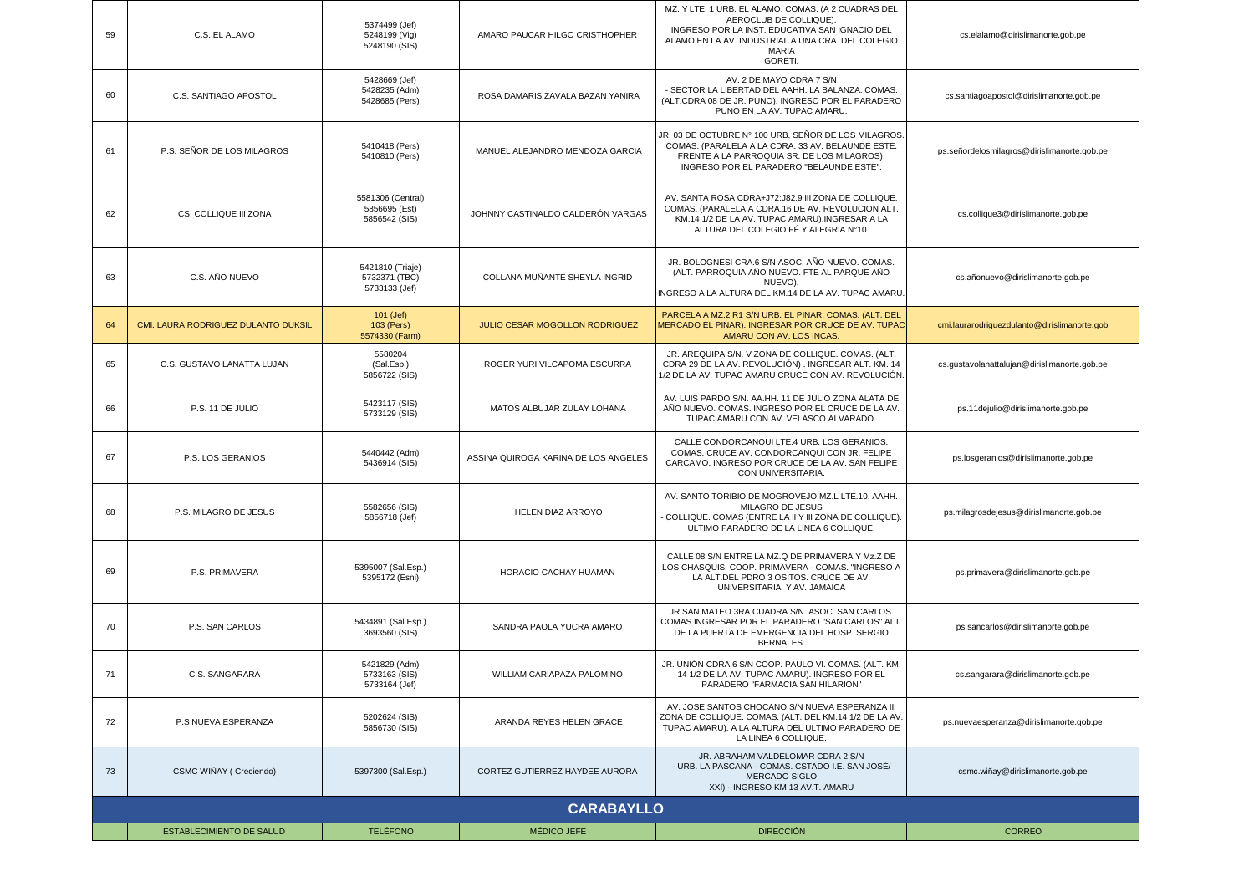| 59 | C.S. EL ALAMO                       | 5374499 (Jef)<br>5248199 (Vig)<br>5248190 (SIS)     | AMARO PAUCAR HILGO CRISTHOPHER        | MZ. Y LTE. 1 URB. EL ALAMO. COMAS. (A 2 CUADRAS DEL<br>AEROCLUB DE COLLIQUE).<br>INGRESO POR LA INST. EDUCATIVA SAN IGNACIO DEL<br>ALAMO EN LA AV. INDUSTRIAL A UNA CRA. DEL COLEGIO<br><b>MARIA</b><br><b>GORETI</b> | cs.elalamo@dirislimanorte.gob.pe             |
|----|-------------------------------------|-----------------------------------------------------|---------------------------------------|-----------------------------------------------------------------------------------------------------------------------------------------------------------------------------------------------------------------------|----------------------------------------------|
| 60 | C.S. SANTIAGO APOSTOL               | 5428669 (Jef)<br>5428235 (Adm)<br>5428685 (Pers)    | ROSA DAMARIS ZAVALA BAZAN YANIRA      | AV. 2 DE MAYO CDRA 7 S/N<br>- SECTOR LA LIBERTAD DEL AAHH. LA BALANZA. COMAS.<br>(ALT.CDRA 08 DE JR. PUNO). INGRESO POR EL PARADERO<br>PUNO EN LA AV. TUPAC AMARU.                                                    | cs.santiagoapostol@dirislimanorte.gob.pe     |
| 61 | P.S. SEÑOR DE LOS MILAGROS          | 5410418 (Pers)<br>5410810 (Pers)                    | MANUEL ALEJANDRO MENDOZA GARCIA       | JR. 03 DE OCTUBRE N° 100 URB. SEÑOR DE LOS MILAGROS<br>COMAS. (PARALELA A LA CDRA. 33 AV. BELAUNDE ESTE.<br>FRENTE A LA PARROQUIA SR. DE LOS MILAGROS).<br>INGRESO POR EL PARADERO "BELAUNDE ESTE".                   | ps.señordelosmilagros@dirislimanorte.gob.pe  |
| 62 | CS. COLLIQUE III ZONA               | 5581306 (Central)<br>5856695 (Est)<br>5856542 (SIS) | JOHNNY CASTINALDO CALDERÓN VARGAS     | AV. SANTA ROSA CDRA+J72:J82.9 III ZONA DE COLLIQUE.<br>COMAS. (PARALELA A CDRA.16 DE AV. REVOLUCION ALT.<br>KM.14 1/2 DE LA AV. TUPAC AMARU). INGRESAR A LA<br>ALTURA DEL COLEGIO FÉ Y ALEGRIA N°10.                  | cs.collique3@dirislimanorte.gob.pe           |
| 63 | C.S. AÑO NUEVO                      | 5421810 (Triaje)<br>5732371 (TBC)<br>5733133 (Jef)  | COLLANA MUÑANTE SHEYLA INGRID         | JR. BOLOGNESI CRA.6 S/N ASOC. AÑO NUEVO. COMAS.<br>(ALT. PARROQUIA AÑO NUEVO. FTE AL PARQUE AÑO<br>NUEVO)<br>INGRESO A LA ALTURA DEL KM.14 DE LA AV. TUPAC AMARU                                                      | cs.añonuevo@dirislimanorte.gob.pe            |
| 64 | CMI. LAURA RODRIGUEZ DULANTO DUKSIL | 101 (Jef)<br>103 (Pers)<br>5574330 (Farm)           | <b>JULIO CESAR MOGOLLON RODRIGUEZ</b> | PARCELA A MZ.2 R1 S/N URB. EL PINAR. COMAS. (ALT. DEL<br>MERCADO EL PINAR). INGRESAR POR CRUCE DE AV. TUPAC<br>AMARU CON AV. LOS INCAS.                                                                               | cmi.laurarodriquezdulanto@dirislimanorte.gob |
| 65 | C.S. GUSTAVO LANATTA LUJAN          | 5580204<br>(Sal.Esp.)<br>5856722 (SIS)              | ROGER YURI VILCAPOMA ESCURRA          | JR. AREQUIPA S/N. V ZONA DE COLLIQUE. COMAS. (ALT.<br>CDRA 29 DE LA AV. REVOLUCIÓN). INGRESAR ALT. KM. 14<br>1/2 DE LA AV. TUPAC AMARU CRUCE CON AV. REVOLUCIÓN                                                       | cs.gustavolanattalujan@dirislimanorte.gob.pe |
| 66 | P.S. 11 DE JULIO                    | 5423117 (SIS)<br>5733129 (SIS)                      | MATOS ALBUJAR ZULAY LOHANA            | AV. LUIS PARDO S/N. AA.HH. 11 DE JULIO ZONA ALATA DE<br>AÑO NUEVO. COMAS. INGRESO POR EL CRUCE DE LA AV.<br>TUPAC AMARU CON AV. VELASCO ALVARADO.                                                                     | ps.11dejulio@dirislimanorte.gob.pe           |
| 67 | P.S. LOS GERANIOS                   | 5440442 (Adm)<br>5436914 (SIS)                      | ASSINA QUIROGA KARINA DE LOS ANGELES  | CALLE CONDORCANQUI LTE.4 URB. LOS GERANIOS.<br>COMAS. CRUCE AV. CONDORCANQUI CON JR. FELIPE<br>CARCAMO. INGRESO POR CRUCE DE LA AV. SAN FELIPE<br>CON UNIVERSITARIA.                                                  | ps.losgeranios@dirislimanorte.gob.pe         |
| 68 | P.S. MILAGRO DE JESUS               | 5582656 (SIS)<br>5856718 (Jef)                      | HELEN DIAZ ARROYO                     | AV. SANTO TORIBIO DE MOGROVEJO MZ.L LTE.10. AAHH.<br>MILAGRO DE JESUS<br>COLLIQUE. COMAS (ENTRE LA II Y III ZONA DE COLLIQUE)<br>ULTIMO PARADERO DE LA LINEA 6 COLLIQUE.                                              | ps.milagrosdejesus@dirislimanorte.gob.pe     |
| 69 | P.S. PRIMAVERA                      | 5395007 (Sal.Esp.)<br>5395172 (Esni)                | HORACIO CACHAY HUAMAN                 | CALLE 08 S/N ENTRE LA MZ.Q DE PRIMAVERA Y Mz.Z DE<br>LOS CHASQUIS. COOP. PRIMAVERA - COMAS. "INGRESO A<br>LA ALT.DEL PDRO 3 OSITOS. CRUCE DE AV.<br>UNIVERSITARIA Y AV. JAMAICA                                       | ps.primavera@dirislimanorte.gob.pe           |
| 70 | P.S. SAN CARLOS                     | 5434891 (Sal.Esp.)<br>3693560 (SIS)                 | SANDRA PAOLA YUCRA AMARO              | JR.SAN MATEO 3RA CUADRA S/N. ASOC. SAN CARLOS.<br>COMAS INGRESAR POR EL PARADERO "SAN CARLOS" ALT.<br>DE LA PUERTA DE EMERGENCIA DEL HOSP. SERGIO<br><b>BERNALES.</b>                                                 | ps.sancarlos@dirislimanorte.gob.pe           |
| 71 | C.S. SANGARARA                      | 5421829 (Adm)<br>5733163 (SIS)<br>5733164 (Jef)     | WILLIAM CARIAPAZA PALOMINO            | JR. UNIÓN CDRA.6 S/N COOP. PAULO VI. COMAS. (ALT. KM.<br>14 1/2 DE LA AV. TUPAC AMARU). INGRESO POR EL<br>PARADERO "FARMACIA SAN HILARION"                                                                            | cs.sangarara@dirislimanorte.gob.pe           |
| 72 | P.S NUEVA ESPERANZA                 | 5202624 (SIS)<br>5856730 (SIS)                      | ARANDA REYES HELEN GRACE              | AV. JOSE SANTOS CHOCANO S/N NUEVA ESPERANZA III<br>ZONA DE COLLIQUE. COMAS. (ALT. DEL KM.14 1/2 DE LA AV.<br>TUPAC AMARU). A LA ALTURA DEL ULTIMO PARADERO DE<br>LA LINEA 6 COLLIQUE.                                 | ps.nuevaesperanza@dirislimanorte.gob.pe      |
| 73 | CSMC WIÑAY (Creciendo)              | 5397300 (Sal.Esp.)                                  | CORTEZ GUTIERREZ HAYDEE AURORA        | JR. ABRAHAM VALDELOMAR CDRA 2 S/N<br>- URB. LA PASCANA - COMAS. CSTADO I.E. SAN JOSÉ/<br>MERCADO SIGLO<br>XXI) - INGRESO KM 13 AV.T. AMARU                                                                            | csmc.wiñay@dirislimanorte.gob.pe             |
|    | <b>CARABAYLLO</b>                   |                                                     |                                       |                                                                                                                                                                                                                       |                                              |
|    | ESTABLECIMIENTO DE SALUD            | <b>TELÉFONO</b>                                     | MÉDICO JEFE                           | <b>DIRECCIÓN</b>                                                                                                                                                                                                      | <b>CORREO</b>                                |
|    |                                     |                                                     |                                       |                                                                                                                                                                                                                       |                                              |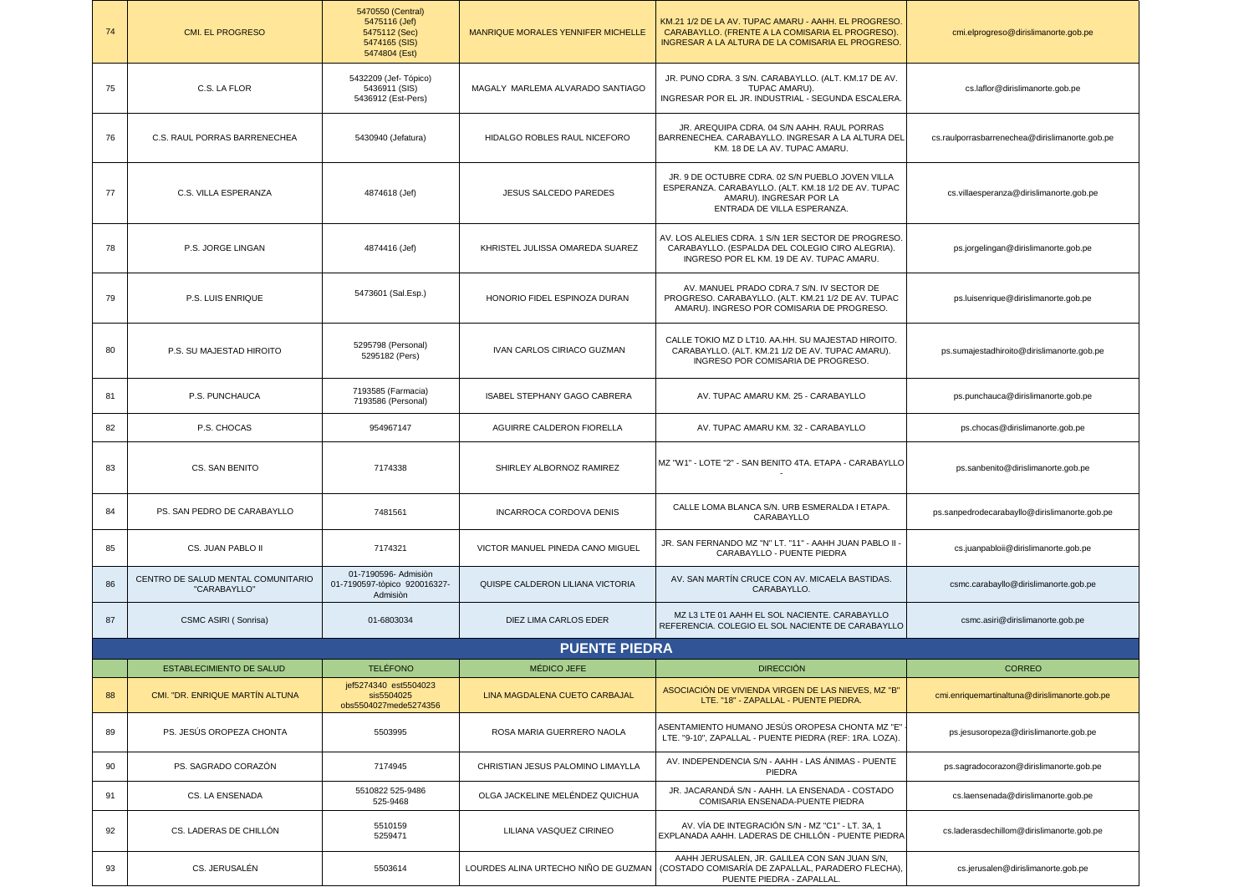| 74 | <b>CMI. EL PROGRESO</b>                            | 5470550 (Central)<br>5475116 (Jef)<br>5475112 (Sec)<br>5474165 (SIS)<br>5474804 (Est) | MANRIQUE MORALES YENNIFER MICHELLE   | KM.21 1/2 DE LA AV. TUPAC AMARU - AAHH. EL PROGRESO<br>CARABAYLLO. (FRENTE A LA COMISARIA EL PROGRESO).<br>INGRESAR A LA ALTURA DE LA COMISARIA EL PROGRESO.      | cmi.elprogreso@dirislimanorte.gob.pe           |  |  |
|----|----------------------------------------------------|---------------------------------------------------------------------------------------|--------------------------------------|-------------------------------------------------------------------------------------------------------------------------------------------------------------------|------------------------------------------------|--|--|
| 75 | C.S. LA FLOR                                       | 5432209 (Jef- Tópico)<br>5436911 (SIS)<br>5436912 (Est-Pers)                          | MAGALY MARLEMA ALVARADO SANTIAGO     | JR. PUNO CDRA. 3 S/N. CARABAYLLO. (ALT. KM.17 DE AV.<br>TUPAC AMARU).<br>INGRESAR POR EL JR. INDUSTRIAL - SEGUNDA ESCALERA.                                       | cs.laflor@dirislimanorte.gob.pe                |  |  |
| 76 | C.S. RAUL PORRAS BARRENECHEA                       | 5430940 (Jefatura)                                                                    | <b>HIDALGO ROBLES RAUL NICEFORO</b>  | JR. AREQUIPA CDRA. 04 S/N AAHH. RAUL PORRAS<br>BARRENECHEA. CARABAYLLO. INGRESAR A LA ALTURA DEL<br>KM. 18 DE LA AV. TUPAC AMARU.                                 | cs.raulporrasbarrenechea@dirislimanorte.gob.pe |  |  |
| 77 | C.S. VILLA ESPERANZA                               | 4874618 (Jef)                                                                         | JESUS SALCEDO PAREDES                | JR. 9 DE OCTUBRE CDRA. 02 S/N PUEBLO JOVEN VILLA<br>ESPERANZA. CARABAYLLO. (ALT. KM.18 1/2 DE AV. TUPAC<br>AMARU). INGRESAR POR LA<br>ENTRADA DE VILLA ESPERANZA. | cs.villaesperanza@dirislimanorte.gob.pe        |  |  |
| 78 | P.S. JORGE LINGAN                                  | 4874416 (Jef)                                                                         | KHRISTEL JULISSA OMAREDA SUAREZ      | AV. LOS ALELIES CDRA. 1 S/N 1ER SECTOR DE PROGRESO<br>CARABAYLLO. (ESPALDA DEL COLEGIO CIRO ALEGRIA).<br>INGRESO POR EL KM. 19 DE AV. TUPAC AMARU.                | ps.jorgelingan@dirislimanorte.gob.pe           |  |  |
| 79 | P.S. LUIS ENRIQUE                                  | 5473601 (Sal.Esp.)                                                                    | HONORIO FIDEL ESPINOZA DURAN         | AV. MANUEL PRADO CDRA.7 S/N. IV SECTOR DE<br>PROGRESO. CARABAYLLO. (ALT. KM.21 1/2 DE AV. TUPAC<br>AMARU). INGRESO POR COMISARIA DE PROGRESO.                     | ps.luisenrique@dirislimanorte.gob.pe           |  |  |
| 80 | P.S. SU MAJESTAD HIROITO                           | 5295798 (Personal)<br>5295182 (Pers)                                                  | IVAN CARLOS CIRIACO GUZMAN           | CALLE TOKIO MZ D LT10. AA.HH. SU MAJESTAD HIROITO.<br>CARABAYLLO. (ALT. KM.21 1/2 DE AV. TUPAC AMARU).<br>INGRESO POR COMISARIA DE PROGRESO.                      | ps.sumajestadhiroito@dirislimanorte.gob.pe     |  |  |
| 81 | P.S. PUNCHAUCA                                     | 7193585 (Farmacia)<br>7193586 (Personal)                                              | <b>ISABEL STEPHANY GAGO CABRERA</b>  | AV. TUPAC AMARU KM. 25 - CARABAYLLO                                                                                                                               | ps.punchauca@dirislimanorte.gob.pe             |  |  |
| 82 | P.S. CHOCAS                                        | 954967147                                                                             | AGUIRRE CALDERON FIORELLA            | AV. TUPAC AMARU KM. 32 - CARABAYLLO                                                                                                                               | ps.chocas@dirislimanorte.gob.pe                |  |  |
| 83 | CS. SAN BENITO                                     | 7174338                                                                               | SHIRLEY ALBORNOZ RAMIREZ             | MZ "W1" - LOTE "2" - SAN BENITO 4TA. ETAPA - CARABAYLLO                                                                                                           | ps.sanbenito@dirislimanorte.gob.pe             |  |  |
| 84 | PS. SAN PEDRO DE CARABAYLLO                        | 7481561                                                                               | <b>INCARROCA CORDOVA DENIS</b>       | CALLE LOMA BLANCA S/N. URB ESMERALDA I ETAPA.<br>CARABAYLLO                                                                                                       | ps.sanpedrodecarabayllo@dirislimanorte.gob.pe  |  |  |
| 85 | CS. JUAN PABLO II                                  | 7174321                                                                               | VICTOR MANUEL PINEDA CANO MIGUEL     | JR. SAN FERNANDO MZ "N" LT. "11" - AAHH JUAN PABLO II -<br>CARABAYLLO - PUENTE PIEDRA                                                                             | cs.juanpabloii@dirislimanorte.gob.pe           |  |  |
| 86 | CENTRO DE SALUD MENTAL COMUNITARIO<br>"CARABAYLLO" | 01-7190596- Admision<br>01-7190597-tòpico 920016327-<br>Admision                      | QUISPE CALDERON LILIANA VICTORIA     | AV. SAN MARTÍN CRUCE CON AV. MICAELA BASTIDAS.<br>CARABAYLLO.                                                                                                     | csmc.carabayllo@dirislimanorte.gob.pe          |  |  |
| 87 | CSMC ASIRI (Sonrisa)                               | 01-6803034                                                                            | DIEZ LIMA CARLOS EDER                | MZ L3 LTE 01 AAHH EL SOL NACIENTE. CARABAYLLO<br>REFERENCIA. COLEGIO EL SOL NACIENTE DE CARABAYLLO                                                                | csmc.asiri@dirislimanorte.gob.pe               |  |  |
|    | <b>PUENTE PIEDRA</b>                               |                                                                                       |                                      |                                                                                                                                                                   |                                                |  |  |
|    | <b>ESTABLECIMIENTO DE SALUD</b>                    | <b>TELÉFONO</b>                                                                       | MÉDICO JEFE                          | <b>DIRECCIÓN</b>                                                                                                                                                  | <b>CORREO</b>                                  |  |  |
| 88 | CMI. "DR. ENRIQUE MARTIN ALTUNA                    | jef5274340 est5504023<br>sis5504025<br>obs5504027mede5274356                          | LINA MAGDALENA CUETO CARBAJAL        | ASOCIACIÓN DE VIVIENDA VIRGEN DE LAS NIEVES, MZ "B"<br>LTE. "18" - ZAPALLAL - PUENTE PIEDRA.                                                                      | cmi.enriquemartinaltuna@dirislimanorte.gob.pe  |  |  |
| 89 | PS. JESÚS OROPEZA CHONTA                           | 5503995                                                                               | ROSA MARIA GUERRERO NAOLA            | ASENTAMIENTO HUMANO JESÚS OROPESA CHONTA MZ "E"<br>LTE. "9-10", ZAPALLAL - PUENTE PIEDRA (REF: 1RA. LOZA).                                                        | ps.jesusoropeza@dirislimanorte.gob.pe          |  |  |
| 90 | PS. SAGRADO CORAZÓN                                | 7174945                                                                               | CHRISTIAN JESUS PALOMINO LIMAYLLA    | AV. INDEPENDENCIA S/N - AAHH - LAS ÁNIMAS - PUENTE<br>PIEDRA                                                                                                      | ps.sagradocorazon@dirislimanorte.gob.pe        |  |  |
| 91 | CS. LA ENSENADA                                    | 5510822 525-9486<br>525-9468                                                          | OLGA JACKELINE MELÉNDEZ QUICHUA      | JR. JACARANDÁ S/N - AAHH. LA ENSENADA - COSTADO<br>COMISARIA ENSENADA-PUENTE PIEDRA                                                                               | cs.laensenada@dirislimanorte.gob.pe            |  |  |
| 92 | CS. LADERAS DE CHILLÓN                             | 5510159<br>5259471                                                                    | LILIANA VASQUEZ CIRINEO              | AV. VÍA DE INTEGRACIÓN S/N - MZ "C1" - LT. 3A, 1<br>EXPLANADA AAHH. LADERAS DE CHILLÓN - PUENTE PIEDRA                                                            | cs.laderasdechillom@dirislimanorte.gob.pe      |  |  |
| 93 | CS. JERUSALÉN                                      | 5503614                                                                               | LOURDES ALINA URTECHO NIÑO DE GUZMAN | AAHH JERUSALEN, JR. GALILEA CON SAN JUAN S/N,<br>(COSTADO COMISARÍA DE ZAPALLAL, PARADERO FLECHA),<br>PUENTE PIEDRA - ZAPALLAL.                                   | cs.jerusalen@dirislimanorte.gob.pe             |  |  |